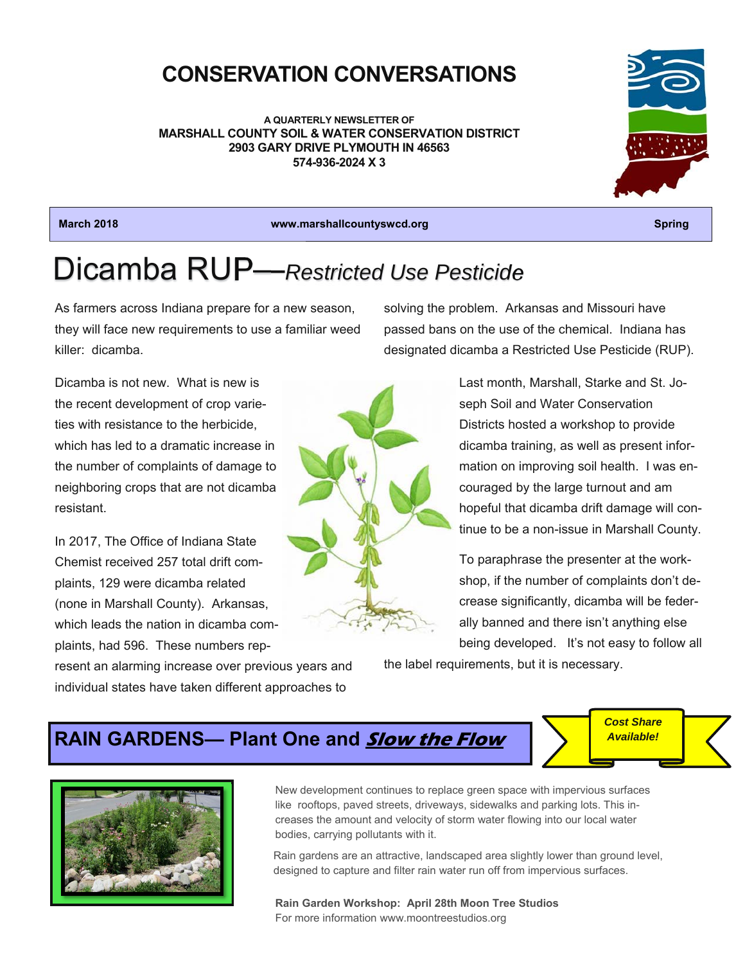## **CONSERVATION CONVERSATIONS**

**A QUARTERLY NEWSLETTER OF MARSHALL COUNTY SOIL & WATER CONSERVATION DISTRICT 2903 GARY DRIVE PLYMOUTH IN 46563 574-936-2024 X 3** 



**March 2018 www.marshallcountyswcd.org Spring** 

# Dicamba RUP—*Restricted Use Pesticide*

As farmers across Indiana prepare for a new season, they will face new requirements to use a familiar weed killer: dicamba.

solving the problem. Arkansas and Missouri have passed bans on the use of the chemical. Indiana has designated dicamba a Restricted Use Pesticide (RUP).

Dicamba is not new. What is new is the recent development of crop varieties with resistance to the herbicide, which has led to a dramatic increase in the number of complaints of damage to neighboring crops that are not dicamba resistant.

In 2017, The Office of Indiana State Chemist received 257 total drift complaints, 129 were dicamba related (none in Marshall County). Arkansas, which leads the nation in dicamba complaints, had 596. These numbers rep-



Last month, Marshall, Starke and St. Joseph Soil and Water Conservation Districts hosted a workshop to provide dicamba training, as well as present information on improving soil health. I was encouraged by the large turnout and am hopeful that dicamba drift damage will continue to be a non-issue in Marshall County.

To paraphrase the presenter at the workshop, if the number of complaints don't decrease significantly, dicamba will be federally banned and there isn't anything else being developed. It's not easy to follow all

resent an alarming increase over previous years and individual states have taken different approaches to

the label requirements, but it is necessary.

## **RAIN GARDENS— Plant One and Slow the Flow**



New development continues to replace green space with impervious surfaces like rooftops, paved streets, driveways, sidewalks and parking lots. This increases the amount and velocity of storm water flowing into our local water bodies, carrying pollutants with it.

Rain gardens are an attractive, landscaped area slightly lower than ground level, designed to capture and filter rain water run off from impervious surfaces.

**Rain Garden Workshop: April 28th Moon Tree Studios** For more information www.moontreestudios.org